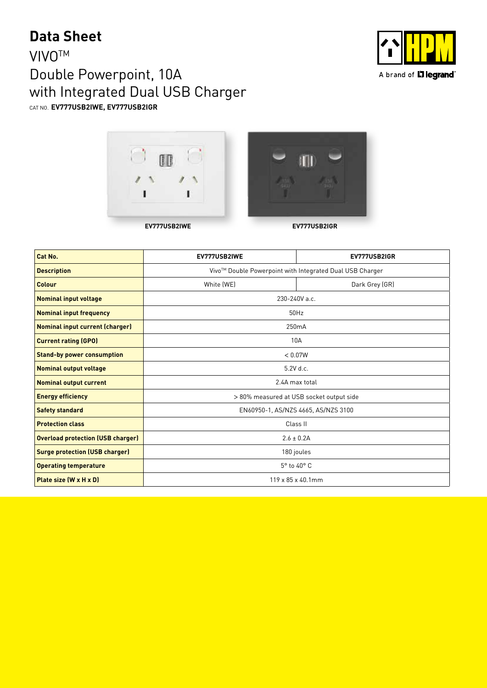## **Data Sheet**

### **VIVO<sup>™</sup>** Double Powerpoint, 10A with Integrated Dual USB Charger CAT NO. **EV777USB2IWE, EV777USB2IGR**







| Cat No.                                  | EV777USB2IWE                                             | EV777USB2IGR   |  |
|------------------------------------------|----------------------------------------------------------|----------------|--|
| <b>Description</b>                       | Vivo™ Double Powerpoint with Integrated Dual USB Charger |                |  |
| Colour                                   | White (WE)                                               | Dark Grey (GR) |  |
| <b>Nominal input voltage</b>             | 230-240V a.c.                                            |                |  |
| <b>Nominal input frequency</b>           | 50Hz                                                     |                |  |
| <b>Nominal input current (charger)</b>   | 250 <sub>m</sub> A                                       |                |  |
| <b>Current rating (GPO)</b>              | 10A                                                      |                |  |
| <b>Stand-by power consumption</b>        | < 0.07W                                                  |                |  |
| <b>Nominal output voltage</b>            | 5.2V d.c.                                                |                |  |
| <b>Nominal output current</b>            | 2.4A max total                                           |                |  |
| <b>Energy efficiency</b>                 | > 80% measured at USB socket output side                 |                |  |
| <b>Safety standard</b>                   | EN60950-1, AS/NZS 4665, AS/NZS 3100                      |                |  |
| <b>Protection class</b>                  | Class II                                                 |                |  |
| <b>Overload protection (USB charger)</b> | $2.6 \pm 0.2$ A                                          |                |  |
| <b>Surge protection (USB charger)</b>    | 180 joules                                               |                |  |
| <b>Operating temperature</b>             | 5° to 40° C                                              |                |  |
| Plate size (W x H x D)                   | 119 x 85 x 40.1mm                                        |                |  |